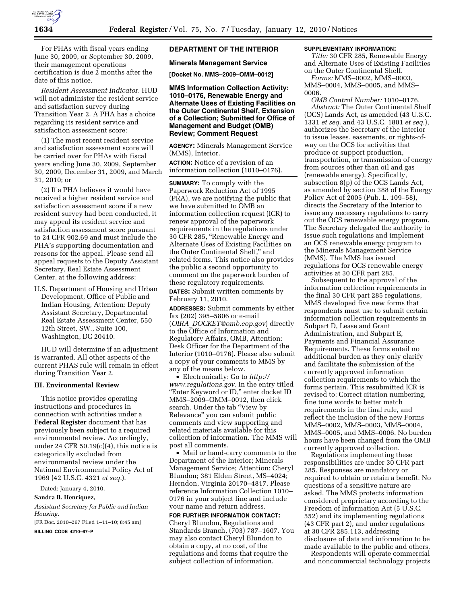

For PHAs with fiscal years ending June 30, 2009, or September 30, 2009, their management operations certification is due 2 months after the date of this notice.

*Resident Assessment Indicator.* HUD will not administer the resident service and satisfaction survey during Transition Year 2. A PHA has a choice regarding its resident service and satisfaction assessment score:

(1) The most recent resident service and satisfaction assessment score will be carried over for PHAs with fiscal years ending June 30, 2009, September 30, 2009, December 31, 2009, and March 31, 2010; or

(2) If a PHA believes it would have received a higher resident service and satisfaction assessment score if a new resident survey had been conducted, it may appeal its resident service and satisfaction assessment score pursuant to 24 CFR 902.69 and must include the PHA's supporting documentation and reasons for the appeal. Please send all appeal requests to the Deputy Assistant Secretary, Real Estate Assessment Center, at the following address:

U.S. Department of Housing and Urban Development, Office of Public and Indian Housing, Attention: Deputy Assistant Secretary, Departmental Real Estate Assessment Center, 550 12th Street, SW., Suite 100, Washington, DC 20410.

HUD will determine if an adjustment is warranted. All other aspects of the current PHAS rule will remain in effect during Transition Year 2.

#### **III. Environmental Review**

This notice provides operating instructions and procedures in connection with activities under a **Federal Register** document that has previously been subject to a required environmental review. Accordingly, under 24 CFR 50.19(c)(4), this notice is categorically excluded from environmental review under the National Environmental Policy Act of 1969 (42 U.S.C. 4321 *et seq.*).

Dated: January 4, 2010.

## **Sandra B. Henriquez,**

*Assistant Secretary for Public and Indian Housing.* 

[FR Doc. 2010–267 Filed 1–11–10; 8:45 am] **BILLING CODE 4210–67–P** 

### **DEPARTMENT OF THE INTERIOR**

#### **Minerals Management Service**

**[Docket No. MMS–2009–OMM–0012]** 

**MMS Information Collection Activity: 1010–0176, Renewable Energy and Alternate Uses of Existing Facilities on the Outer Continental Shelf, Extension of a Collection; Submitted for Office of Management and Budget (OMB) Review; Comment Request** 

**AGENCY:** Minerals Management Service (MMS), Interior.

**ACTION:** Notice of a revision of an information collection (1010–0176).

**SUMMARY:** To comply with the Paperwork Reduction Act of 1995 (PRA), we are notifying the public that we have submitted to OMB an information collection request (ICR) to renew approval of the paperwork requirements in the regulations under 30 CFR 285, ''Renewable Energy and Alternate Uses of Existing Facilities on the Outer Continental Shelf,'' and related forms. This notice also provides the public a second opportunity to comment on the paperwork burden of these regulatory requirements.

**DATES:** Submit written comments by February 11, 2010.

**ADDRESSES:** Submit comments by either fax (202) 395–5806 or e-mail (*OIRA*\_*DOCKET@omb.eop.gov*) directly to the Office of Information and Regulatory Affairs, OMB, Attention: Desk Officer for the Department of the Interior (1010–0176). Please also submit a copy of your comments to MMS by any of the means below.

• Electronically: Go to *http:// www.regulations.gov.* In the entry titled ''Enter Keyword or ID,'' enter docket ID MMS–2009–OMM–0012, then click search. Under the tab ''View by Relevance'' you can submit public comments and view supporting and related materials available for this collection of information. The MMS will post all comments.

• Mail or hand-carry comments to the Department of the Interior; Minerals Management Service; Attention: Cheryl Blundon; 381 Elden Street, MS–4024; Herndon, Virginia 20170–4817. Please reference Information Collection 1010– 0176 in your subject line and include your name and return address.

**FOR FURTHER INFORMATION CONTACT:**  Cheryl Blundon, Regulations and Standards Branch, (703) 787–1607. You may also contact Cheryl Blundon to obtain a copy, at no cost, of the regulations and forms that require the subject collection of information.

#### **SUPPLEMENTARY INFORMATION:**

*Title:* 30 CFR 285, Renewable Energy and Alternate Uses of Existing Facilities on the Outer Continental Shelf.

*Forms:* MMS–0002, MMS–0003, MMS–0004, MMS–0005, and MMS– 0006.

*OMB Control Number:* 1010–0176. *Abstract:* The Outer Continental Shelf (OCS) Lands Act, as amended (43 U.S.C. 1331 *et seq.* and 43 U.S.C. 1801 *et seq.*), authorizes the Secretary of the Interior to issue leases, easements, or rights-ofway on the OCS for activities that produce or support production, transportation, or transmission of energy from sources other than oil and gas (renewable energy). Specifically, subsection 8(p) of the OCS Lands Act, as amended by section 388 of the Energy Policy Act of 2005 (Pub. L. 109–58), directs the Secretary of the Interior to issue any necessary regulations to carry out the OCS renewable energy program. The Secretary delegated the authority to issue such regulations and implement an OCS renewable energy program to the Minerals Management Service (MMS). The MMS has issued regulations for OCS renewable energy activities at 30 CFR part 285.

Subsequent to the approval of the information collection requirements in the final 30 CFR part 285 regulations, MMS developed five new forms that respondents must use to submit certain information collection requirements in Subpart D, Lease and Grant Administration, and Subpart E, Payments and Financial Assurance Requirements. These forms entail no additional burden as they only clarify and facilitate the submission of the currently approved information collection requirements to which the forms pertain. This resubmitted ICR is revised to: Correct citation numbering, fine tune words to better match requirements in the final rule, and reflect the inclusion of the new Forms MMS–0002, MMS–0003, MMS–0004, MMS–0005, and MMS–0006. No burden hours have been changed from the OMB currently approved collection.

Regulations implementing these responsibilities are under 30 CFR part 285. Responses are mandatory or required to obtain or retain a benefit. No questions of a sensitive nature are asked. The MMS protects information considered proprietary according to the Freedom of Information Act (5 U.S.C. 552) and its implementing regulations (43 CFR part 2), and under regulations at 30 CFR 285.113, addressing disclosure of data and information to be made available to the public and others.

Respondents will operate commercial and noncommercial technology projects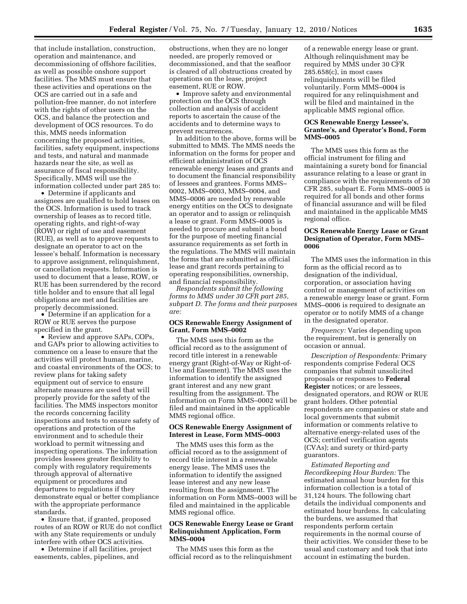that include installation, construction, operation and maintenance, and decommissioning of offshore facilities, as well as possible onshore support facilities. The MMS must ensure that these activities and operations on the OCS are carried out in a safe and pollution-free manner, do not interfere with the rights of other users on the OCS, and balance the protection and development of OCS resources. To do this, MMS needs information concerning the proposed activities, facilities, safety equipment, inspections and tests, and natural and manmade hazards near the site, as well as assurance of fiscal responsibility. Specifically, MMS will use the information collected under part 285 to:

• Determine if applicants and assignees are qualified to hold leases on the OCS. Information is used to track ownership of leases as to record title, operating rights, and right-of-way (ROW) or right of use and easement (RUE), as well as to approve requests to designate an operator to act on the lessee's behalf. Information is necessary to approve assignment, relinquishment, or cancellation requests. Information is used to document that a lease, ROW, or RUE has been surrendered by the record title holder and to ensure that all legal obligations are met and facilities are properly decommissioned.

• Determine if an application for a ROW or RUE serves the purpose specified in the grant.

• Review and approve SAPs, COPs, and GAPs prior to allowing activities to commence on a lease to ensure that the activities will protect human, marine, and coastal environments of the OCS; to review plans for taking safety equipment out of service to ensure alternate measures are used that will properly provide for the safety of the facilities. The MMS inspectors monitor the records concerning facility inspections and tests to ensure safety of operations and protection of the environment and to schedule their workload to permit witnessing and inspecting operations. The information provides lessees greater flexibility to comply with regulatory requirements through approval of alternative equipment or procedures and departures to regulations if they demonstrate equal or better compliance with the appropriate performance standards.

• Ensure that, if granted, proposed routes of an ROW or RUE do not conflict with any State requirements or unduly interfere with other OCS activities.

• Determine if all facilities, project easements, cables, pipelines, and

obstructions, when they are no longer needed, are properly removed or decommissioned, and that the seafloor is cleared of all obstructions created by operations on the lease, project easement, RUE or ROW.

• Improve safety and environmental protection on the OCS through collection and analysis of accident reports to ascertain the cause of the accidents and to determine ways to prevent recurrences.

In addition to the above, forms will be submitted to MMS. The MMS needs the information on the forms for proper and efficient administration of OCS renewable energy leases and grants and to document the financial responsibility of lessees and grantees. Forms MMS– 0002, MMS–0003, MMS–0004, and MMS–0006 are needed by renewable energy entities on the OCS to designate an operator and to assign or relinquish a lease or grant. Form MMS–0005 is needed to procure and submit a bond for the purpose of meeting financial assurance requirements as set forth in the regulations. The MMS will maintain the forms that are submitted as official lease and grant records pertaining to operating responsibilities, ownership, and financial responsibility.

*Respondents submit the following forms to MMS under 30 CFR part 285, subpart D. The forms and their purposes are:* 

## **OCS Renewable Energy Assignment of Grant, Form MMS–0002**

The MMS uses this form as the official record as to the assignment of record title interest in a renewable energy grant (Right-of-Way or Right-of-Use and Easement). The MMS uses the information to identify the assigned grant interest and any new grant resulting from the assignment. The information on Form MMS–0002 will be filed and maintained in the applicable MMS regional office.

#### **OCS Renewable Energy Assignment of Interest in Lease, Form MMS–0003**

The MMS uses this form as the official record as to the assignment of record title interest in a renewable energy lease. The MMS uses the information to identify the assigned lease interest and any new lease resulting from the assignment. The information on Form MMS–0003 will be filed and maintained in the applicable MMS regional office.

## **OCS Renewable Energy Lease or Grant Relinquishment Application, Form MMS–0004**

The MMS uses this form as the official record as to the relinquishment

of a renewable energy lease or grant. Although relinquishment may be required by MMS under 30 CFR 285.658(c), in most cases relinquishments will be filed voluntarily. Form MMS–0004 is required for any relinquishment and will be filed and maintained in the applicable MMS regional office.

#### **OCS Renewable Energy Lessee's, Grantee's, and Operator's Bond, Form MMS–0005**

The MMS uses this form as the official instrument for filing and maintaining a surety bond for financial assurance relating to a lease or grant in compliance with the requirements of 30 CFR 285, subpart E. Form MMS–0005 is required for all bonds and other forms of financial assurance and will be filed and maintained in the applicable MMS regional office.

## **OCS Renewable Energy Lease or Grant Designation of Operator, Form MMS– 0006**

The MMS uses the information in this form as the official record as to designation of the individual, corporation, or association having control or management of activities on a renewable energy lease or grant. Form MMS–0006 is required to designate an operator or to notify MMS of a change in the designated operator.

*Frequency:* Varies depending upon the requirement, but is generally on occasion or annual.

*Description of Respondents:* Primary respondents comprise Federal OCS companies that submit unsolicited proposals or responses to **Federal Register** notices; or are lessees, designated operators, and ROW or RUE grant holders. Other potential respondents are companies or state and local governments that submit information or comments relative to alternative energy-related uses of the OCS; certified verification agents (CVAs); and surety or third-party guarantors.

*Estimated Reporting and Recordkeeping Hour Burden:* The estimated annual hour burden for this information collection is a total of 31,124 hours. The following chart details the individual components and estimated hour burdens. In calculating the burdens, we assumed that respondents perform certain requirements in the normal course of their activities. We consider these to be usual and customary and took that into account in estimating the burden.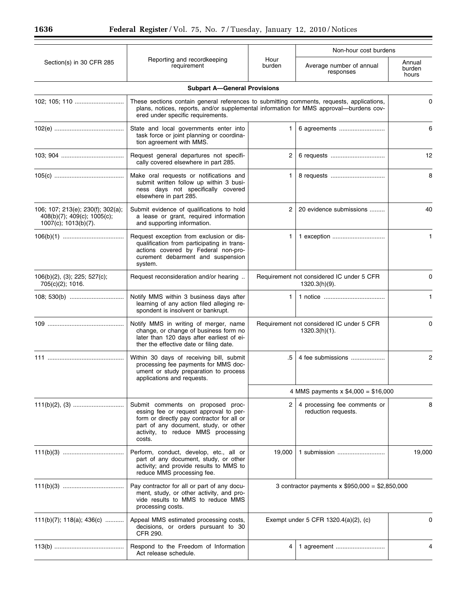|                                                                                          |                                                                                                                                                                                                                          |                                                            | Non-hour cost burdens                                         |                           |
|------------------------------------------------------------------------------------------|--------------------------------------------------------------------------------------------------------------------------------------------------------------------------------------------------------------------------|------------------------------------------------------------|---------------------------------------------------------------|---------------------------|
| Section(s) in 30 CFR 285                                                                 | Reporting and recordkeeping<br>requirement                                                                                                                                                                               | Hour<br>burden                                             | Average number of annual<br>responses                         | Annual<br>burden<br>hours |
|                                                                                          | <b>Subpart A-General Provisions</b>                                                                                                                                                                                      |                                                            |                                                               |                           |
| 102; 105; 110                                                                            | These sections contain general references to submitting comments, requests, applications,<br>plans, notices, reports, and/or supplemental information for MMS approval-burdens cov-<br>ered under specific requirements. |                                                            |                                                               | 0                         |
|                                                                                          | State and local governments enter into<br>task force or joint planning or coordina-<br>tion agreement with MMS.                                                                                                          | $\mathbf{1}$                                               | 6 agreements                                                  | 6                         |
|                                                                                          | Request general departures not specifi-<br>cally covered elsewhere in part 285.                                                                                                                                          | $^{2}$                                                     | 6 requests                                                    | 12                        |
|                                                                                          | Make oral requests or notifications and<br>submit written follow up within 3 busi-<br>ness days not specifically covered<br>elsewhere in part 285.                                                                       | 1.                                                         |                                                               | 8                         |
| 106; 107; 213(e); 230(f); 302(a);<br>408(b)(7); 409(c); 1005(c);<br>1007(c); 1013(b)(7). | Submit evidence of qualifications to hold<br>a lease or grant, required information<br>and supporting information.                                                                                                       | $\mathbf{2}^{\circ}$                                       | 20 evidence submissions                                       | 40                        |
|                                                                                          | Request exception from exclusion or dis-<br>qualification from participating in trans-<br>actions covered by Federal non-pro-<br>curement debarment and suspension<br>system.                                            | 1.                                                         | 1 exception                                                   | 1                         |
| 106(b)(2), (3); 225; 527(c);<br>705(c)(2); 1016.                                         | Request reconsideration and/or hearing                                                                                                                                                                                   | Requirement not considered IC under 5 CFR<br>1320.3(h)(9). |                                                               | $\Omega$                  |
|                                                                                          | Notify MMS within 3 business days after<br>learning of any action filed alleging re-<br>spondent is insolvent or bankrupt.                                                                                               | 1.                                                         |                                                               | 1                         |
|                                                                                          | Notify MMS in writing of merger, name<br>change, or change of business form no<br>later than 120 days after earliest of ei-<br>ther the effective date or filing date.                                                   |                                                            | Requirement not considered IC under 5 CFR<br>$1320.3(h)(1)$ . | 0                         |
|                                                                                          | Within 30 days of receiving bill, submit<br>processing fee payments for MMS doc-<br>ument or study preparation to process<br>applications and requests.                                                                  | .5                                                         | 4 fee submissions                                             | 2                         |
|                                                                                          |                                                                                                                                                                                                                          |                                                            | 4 MMS payments $x$ \$4,000 = \$16,000                         |                           |
|                                                                                          | Submit comments on proposed proc-<br>essing fee or request approval to per-<br>form or directly pay contractor for all or<br>part of any document, study, or other<br>activity, to reduce MMS processing<br>costs.       | 2                                                          | 4 processing fee comments or<br>reduction requests.           | 8                         |
|                                                                                          | Perform, conduct, develop, etc., all or<br>part of any document, study, or other<br>activity; and provide results to MMS to<br>reduce MMS processing fee.                                                                | 19,000                                                     | 1 submission                                                  | 19,000                    |
|                                                                                          | Pay contractor for all or part of any docu-<br>ment, study, or other activity, and pro-<br>vide results to MMS to reduce MMS<br>processing costs.                                                                        | 3 contractor payments x $$950,000 = $2,850,000$            |                                                               |                           |
| 111(b)(7); 118(a); 436(c)                                                                | Appeal MMS estimated processing costs,<br>decisions, or orders pursuant to 30<br>CFR 290.                                                                                                                                |                                                            | Exempt under 5 CFR $1320.4(a)(2)$ , (c)                       | 0                         |
|                                                                                          | Respond to the Freedom of Information<br>Act release schedule.                                                                                                                                                           | 4                                                          |                                                               |                           |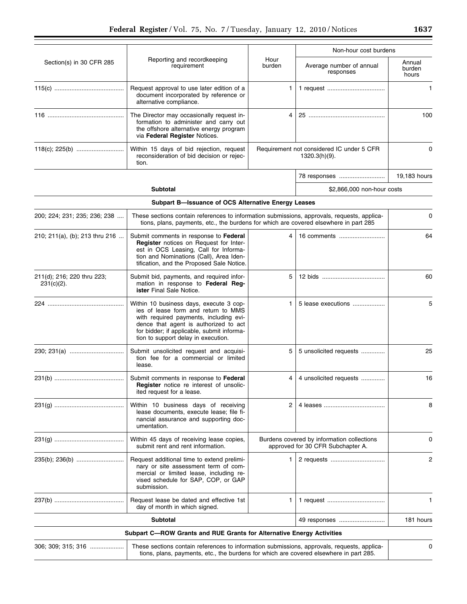|                                             |                                                                                                                                                                                                                                                        |                |                                                                                 | Non-hour cost burdens     |  |
|---------------------------------------------|--------------------------------------------------------------------------------------------------------------------------------------------------------------------------------------------------------------------------------------------------------|----------------|---------------------------------------------------------------------------------|---------------------------|--|
| Section(s) in 30 CFR 285                    | Reporting and recordkeeping<br>requirement                                                                                                                                                                                                             | Hour<br>burden | Average number of annual<br>responses                                           | Annual<br>burden<br>hours |  |
|                                             | Request approval to use later edition of a<br>document incorporated by reference or<br>alternative compliance.                                                                                                                                         | 1              |                                                                                 | $\mathbf{1}$              |  |
|                                             | The Director may occasionally request in-<br>formation to administer and carry out<br>the offshore alternative energy program<br>via Federal Register Notices.                                                                                         |                |                                                                                 | 100                       |  |
|                                             | Within 15 days of bid rejection, request<br>reconsideration of bid decision or rejec-<br>tion.                                                                                                                                                         |                | Requirement not considered IC under 5 CFR<br>1320.3(h)(9).                      | $\Omega$                  |  |
|                                             |                                                                                                                                                                                                                                                        |                | 78 responses                                                                    | 19,183 hours              |  |
|                                             | <b>Subtotal</b>                                                                                                                                                                                                                                        |                | \$2,866,000 non-hour costs                                                      |                           |  |
|                                             | Subpart B-Issuance of OCS Alternative Energy Leases                                                                                                                                                                                                    |                |                                                                                 |                           |  |
| 200; 224; 231; 235; 236; 238                | These sections contain references to information submissions, approvals, requests, applica-<br>tions, plans, payments, etc., the burdens for which are covered elsewhere in part 285                                                                   |                |                                                                                 | 0                         |  |
| 210; 211(a), (b); 213 thru 216              | Submit comments in response to Federal<br>Register notices on Request for Inter-<br>est in OCS Leasing, Call for Informa-<br>tion and Nominations (Call), Area Iden-<br>tification, and the Proposed Sale Notice.                                      | 4              | 16 comments                                                                     | 64                        |  |
| 211(d); 216; 220 thru 223;<br>$231(c)(2)$ . | Submit bid, payments, and required infor-<br>mation in response to Federal Reg-<br>ister Final Sale Notice.                                                                                                                                            | 5              |                                                                                 | 60                        |  |
|                                             | Within 10 business days, execute 3 cop-<br>ies of lease form and return to MMS<br>with required payments, including evi-<br>dence that agent is authorized to act<br>for bidder; if applicable, submit informa-<br>tion to support delay in execution. | 1              | 5 lease executions                                                              | 5                         |  |
| 230; 231(a)                                 | Submit unsolicited request and acquisi-<br>tion fee for a commercial or limited<br>lease.                                                                                                                                                              | 5              | 5 unsolicited requests                                                          | 25                        |  |
|                                             | Submit comments in response to Federal<br><b>Register</b> notice re interest of unsolic-<br>ited request for a lease.                                                                                                                                  | 4              | 4 unsolicited requests                                                          | 16                        |  |
|                                             | Within 10 business days of receiving<br>lease documents, execute lease; file fi-<br>nancial assurance and supporting doc-<br>umentation.                                                                                                               | 2              |                                                                                 | 8                         |  |
|                                             | Within 45 days of receiving lease copies,<br>submit rent and rent information.                                                                                                                                                                         |                | Burdens covered by information collections<br>approved for 30 CFR Subchapter A. | 0                         |  |
|                                             | Request additional time to extend prelimi-<br>nary or site assessment term of com-<br>mercial or limited lease, including re-<br>vised schedule for SAP, COP, or GAP<br>submission.                                                                    | 1              |                                                                                 | 2                         |  |
|                                             | Request lease be dated and effective 1st<br>day of month in which signed.                                                                                                                                                                              | 1              |                                                                                 | 1                         |  |
|                                             | Subtotal                                                                                                                                                                                                                                               |                | 49 responses                                                                    | 181 hours                 |  |
|                                             | Subpart C-ROW Grants and RUE Grants for Alternative Energy Activities                                                                                                                                                                                  |                |                                                                                 |                           |  |
| 306; 309; 315; 316                          | These sections contain references to information submissions, approvals, requests, applica-<br>tions, plans, payments, etc., the burdens for which are covered elsewhere in part 285.                                                                  |                |                                                                                 | 0                         |  |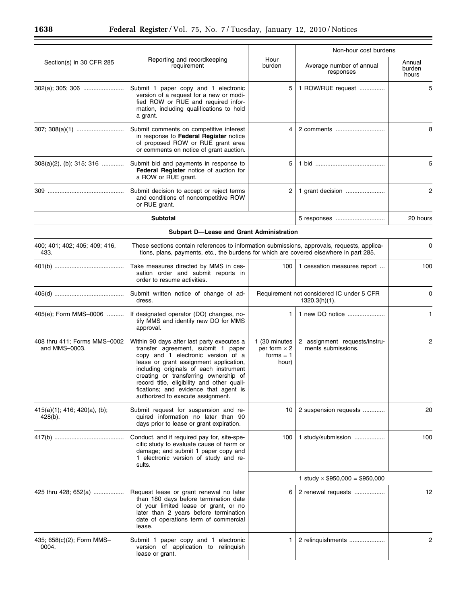|                                               |                                                                                                                                                                                                                                                                                                                                                                                 |                                                              | Non-hour cost burdens                                         |                           |
|-----------------------------------------------|---------------------------------------------------------------------------------------------------------------------------------------------------------------------------------------------------------------------------------------------------------------------------------------------------------------------------------------------------------------------------------|--------------------------------------------------------------|---------------------------------------------------------------|---------------------------|
| Section(s) in 30 CFR 285                      | Reporting and recordkeeping<br>requirement                                                                                                                                                                                                                                                                                                                                      | Hour<br>burden                                               | Average number of annual<br>responses                         | Annual<br>burden<br>hours |
| 302(a); 305; 306                              | Submit 1 paper copy and 1 electronic<br>version of a request for a new or modi-<br>fied ROW or RUE and required infor-<br>mation, including qualifications to hold<br>a grant.                                                                                                                                                                                                  | 5                                                            | 1 ROW/RUE request                                             | 5                         |
|                                               | Submit comments on competitive interest<br>in response to Federal Register notice<br>of proposed ROW or RUE grant area<br>or comments on notice of grant auction.                                                                                                                                                                                                               | 4                                                            | 2 comments                                                    | 8                         |
| $308(a)(2)$ , (b); 315; 316                   | Submit bid and payments in response to<br>Federal Register notice of auction for<br>a ROW or RUE grant.                                                                                                                                                                                                                                                                         | 5                                                            |                                                               | 5                         |
|                                               | Submit decision to accept or reject terms<br>and conditions of noncompetitive ROW<br>or RUE grant.                                                                                                                                                                                                                                                                              | 2                                                            |                                                               | $\overline{c}$            |
|                                               | <b>Subtotal</b>                                                                                                                                                                                                                                                                                                                                                                 |                                                              | 5 responses                                                   | 20 hours                  |
|                                               | Subpart D-Lease and Grant Administration                                                                                                                                                                                                                                                                                                                                        |                                                              |                                                               |                           |
| 400; 401; 402; 405; 409; 416,<br>433.         | These sections contain references to information submissions, approvals, requests, applica-<br>tions, plans, payments, etc., the burdens for which are covered elsewhere in part 285.                                                                                                                                                                                           |                                                              |                                                               | 0                         |
|                                               | Take measures directed by MMS in ces-<br>sation order and submit reports in<br>order to resume activities.                                                                                                                                                                                                                                                                      | 100                                                          | 1 cessation measures report                                   | 100                       |
|                                               | Submit written notice of change of ad-<br>dress.                                                                                                                                                                                                                                                                                                                                |                                                              | Requirement not considered IC under 5 CFR<br>$1320.3(h)(1)$ . | 0                         |
| 405(e); Form MMS-0006                         | If designated operator (DO) changes, no-<br>tify MMS and identify new DO for MMS<br>approval.                                                                                                                                                                                                                                                                                   | 1.                                                           | 1 new DO notice                                               | $\mathbf{1}$              |
| 408 thru 411; Forms MMS-0002<br>and MMS-0003. | Within 90 days after last party executes a<br>transfer agreement, submit 1 paper<br>copy and 1 electronic version of a<br>lease or grant assignment application,<br>including originals of each instrument<br>creating or transferring ownership of<br>record title, eligibility and other quali-<br>fications; and evidence that agent is<br>authorized to execute assignment. | 1 (30 minutes<br>per form $\times$ 2<br>$forms = 1$<br>hour) | 2 assignment requests/instru-<br>ments submissions.           | 2                         |
| 415(a)(1); 416; 420(a), (b);<br>$428(b)$ .    | Submit request for suspension and re-<br>quired information no later than 90<br>days prior to lease or grant expiration.                                                                                                                                                                                                                                                        | 10                                                           | 2 suspension requests                                         | 20                        |
|                                               | Conduct, and if required pay for, site-spe-<br>cific study to evaluate cause of harm or<br>damage; and submit 1 paper copy and<br>1 electronic version of study and re-<br>sults.                                                                                                                                                                                               | 100                                                          | 1 study/submission                                            | 100                       |
|                                               |                                                                                                                                                                                                                                                                                                                                                                                 |                                                              | 1 study $\times$ \$950,000 = \$950,000                        |                           |
| 425 thru 428; 652(a)                          | Request lease or grant renewal no later<br>than 180 days before termination date<br>of your limited lease or grant, or no<br>later than 2 years before termination<br>date of operations term of commercial<br>lease.                                                                                                                                                           | 6                                                            | 2 renewal requests                                            | 12                        |
| 435; 658(c)(2); Form MMS-<br>0004.            | Submit 1 paper copy and 1 electronic<br>version of application to relinquish                                                                                                                                                                                                                                                                                                    | 1.                                                           | 2 relinquishments                                             | 2                         |

lease or grant.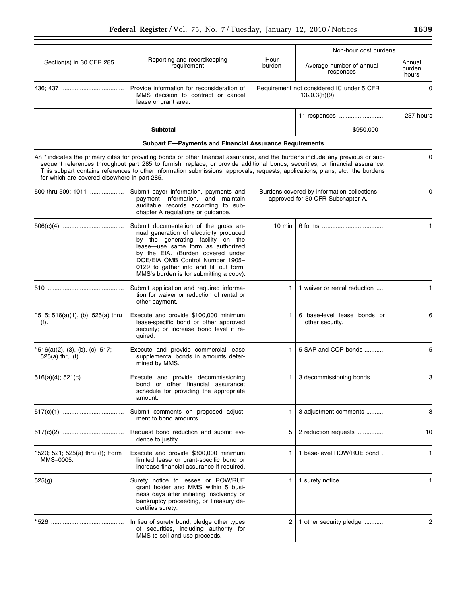|                                                          |                                                                                                                                                                                                                                                                                                                                                                                                  |                | Non-hour cost burdens                                                           |                           |
|----------------------------------------------------------|--------------------------------------------------------------------------------------------------------------------------------------------------------------------------------------------------------------------------------------------------------------------------------------------------------------------------------------------------------------------------------------------------|----------------|---------------------------------------------------------------------------------|---------------------------|
| Section(s) in 30 CFR 285                                 | Reporting and recordkeeping<br>requirement                                                                                                                                                                                                                                                                                                                                                       | Hour<br>burden | Average number of annual<br>responses                                           | Annual<br>burden<br>hours |
|                                                          | Provide information for reconsideration of<br>MMS decision to contract or cancel<br>lease or grant area.                                                                                                                                                                                                                                                                                         |                | Requirement not considered IC under 5 CFR<br>$1320.3(h)(9)$ .                   | 0                         |
|                                                          |                                                                                                                                                                                                                                                                                                                                                                                                  |                |                                                                                 | 237 hours                 |
|                                                          | <b>Subtotal</b>                                                                                                                                                                                                                                                                                                                                                                                  |                | \$950,000                                                                       |                           |
|                                                          | <b>Subpart E-Payments and Financial Assurance Requirements</b>                                                                                                                                                                                                                                                                                                                                   |                |                                                                                 |                           |
| for which are covered elsewhere in part 285.             | An *indicates the primary cites for providing bonds or other financial assurance, and the burdens include any previous or sub-<br>sequent references throughout part 285 to furnish, replace, or provide additional bonds, securities, or financial assurance.<br>This subpart contains references to other information submissions, approvals, requests, applications, plans, etc., the burdens |                |                                                                                 | 0                         |
| 500 thru 509; 1011                                       | Submit payor information, payments and<br>payment information, and maintain<br>auditable records according to sub-<br>chapter A regulations or guidance.                                                                                                                                                                                                                                         |                | Burdens covered by information collections<br>approved for 30 CFR Subchapter A. | 0                         |
|                                                          | Submit documentation of the gross an-<br>nual generation of electricity produced<br>by the generating facility on the<br>lease-use same form as authorized<br>by the EIA. (Burden covered under<br>DOE/EIA OMB Control Number 1905-<br>0129 to gather info and fill out form.<br>MMS's burden is for submitting a copy).                                                                         | 10 min         |                                                                                 | 1.                        |
|                                                          | Submit application and required informa-<br>tion for waiver or reduction of rental or<br>other payment.                                                                                                                                                                                                                                                                                          | 1              | 1 waiver or rental reduction                                                    | 1                         |
| * 515; 516(a)(1), (b); 525(a) thru<br>(f).               | Execute and provide \$100,000 minimum<br>lease-specific bond or other approved<br>security; or increase bond level if re-<br>quired.                                                                                                                                                                                                                                                             | 1              | 6 base-level lease bonds or<br>other security.                                  | 6                         |
| $*516(a)(2)$ , (3), (b), (c); 517;<br>$525(a)$ thru (f). | Execute and provide commercial lease<br>supplemental bonds in amounts deter-<br>mined by MMS.                                                                                                                                                                                                                                                                                                    | 1.             | 5 SAP and COP bonds                                                             | 5                         |
|                                                          | Execute and provide decommissioning<br>bond or other financial assurance;<br>schedule for providing the appropriate<br>amount.                                                                                                                                                                                                                                                                   | 1.             | 3 decommissioning bonds                                                         | 3                         |
|                                                          | Submit comments on proposed adjust-<br>ment to bond amounts.                                                                                                                                                                                                                                                                                                                                     | 1              | 3 adjustment comments                                                           | 3                         |
|                                                          | Request bond reduction and submit evi-<br>dence to justify.                                                                                                                                                                                                                                                                                                                                      | 5              | 2 reduction requests                                                            | 10                        |
| * 520; 521; 525(a) thru (f); Form<br>MMS-0005.           | Execute and provide \$300,000 minimum<br>limited lease or grant-specific bond or<br>increase financial assurance if required.                                                                                                                                                                                                                                                                    | 1              | 1 base-level ROW/RUE bond                                                       | 1                         |
|                                                          | Surety notice to lessee or ROW/RUE<br>grant holder and MMS within 5 busi-<br>ness days after initiating insolvency or<br>bankruptcy proceeding, or Treasury de-<br>certifies surety.                                                                                                                                                                                                             | 1              |                                                                                 | 1                         |
|                                                          | In lieu of surety bond, pledge other types<br>of securities, including authority for<br>MMS to sell and use proceeds.                                                                                                                                                                                                                                                                            | 2              | 1 other security pledge                                                         | 2                         |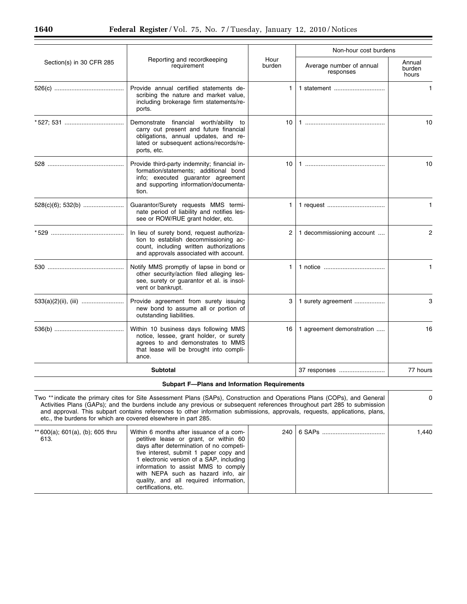|                          |                                                                                                                                                                                    |                 | Non-hour cost burdens                 |                           |
|--------------------------|------------------------------------------------------------------------------------------------------------------------------------------------------------------------------------|-----------------|---------------------------------------|---------------------------|
| Section(s) in 30 CFR 285 | Reporting and recordkeeping<br>requirement                                                                                                                                         | Hour<br>burden  | Average number of annual<br>responses | Annual<br>burden<br>hours |
|                          | Provide annual certified statements de-<br>scribing the nature and market value,<br>including brokerage firm statements/re-<br>ports.                                              | $\mathbf{1}$    | 1 statement                           | $\mathbf{1}$              |
|                          | Demonstrate financial worth/ability to<br>carry out present and future financial<br>obligations, annual updates, and re-<br>lated or subsequent actions/records/re-<br>ports, etc. | 10 <sup>1</sup> |                                       | 10                        |
|                          | Provide third-party indemnity; financial in-<br>formation/statements; additional bond<br>info; executed guarantor agreement<br>and supporting information/documenta-<br>tion.      | 10              |                                       | 10                        |
|                          | Guarantor/Surety requests MMS termi-<br>nate period of liability and notifies les-<br>see or ROW/RUE grant holder, etc.                                                            | 1.              |                                       | $\mathbf{1}$              |
|                          | In lieu of surety bond, request authoriza-<br>tion to establish decommissioning ac-<br>count, including written authorizations<br>and approvals associated with account.           | 2               | 1 decommissioning account             | $\overline{2}$            |
|                          | Notify MMS promptly of lapse in bond or<br>other security/action filed alleging les-<br>see, surety or guarantor et al. is insol-<br>vent or bankrupt.                             | 1.              |                                       | $\mathbf{1}$              |
|                          | Provide agreement from surety issuing<br>new bond to assume all or portion of<br>outstanding liabilities.                                                                          | 3               | 1 surety agreement                    | 3                         |
|                          | Within 10 business days following MMS<br>notice, lessee, grant holder, or surety<br>agrees to and demonstrates to MMS<br>that lease will be brought into compli-<br>ance.          | 16              | 1 agreement demonstration             | 16                        |
|                          | <b>Subtotal</b>                                                                                                                                                                    |                 | 37 responses                          | 77 hours                  |

# **Subpart F—Plans and Information Requirements**

| Two **indicate the primary cites for Site Assessment Plans (SAPs), Construction and Operations Plans (COPs), and General<br>Activities Plans (GAPs); and the burdens include any previous or subsequent references throughout part 285 to submission<br>and approval. This subpart contains references to other information submissions, approvals, requests, applications, plans,<br>etc., the burdens for which are covered elsewhere in part 285. |                                                                                                                                                                                                                                                                                                                                                                 |  | $\Omega$ |       |
|------------------------------------------------------------------------------------------------------------------------------------------------------------------------------------------------------------------------------------------------------------------------------------------------------------------------------------------------------------------------------------------------------------------------------------------------------|-----------------------------------------------------------------------------------------------------------------------------------------------------------------------------------------------------------------------------------------------------------------------------------------------------------------------------------------------------------------|--|----------|-------|
| ** 600(a); 601(a), (b); 605 thru<br>613.                                                                                                                                                                                                                                                                                                                                                                                                             | Within 6 months after issuance of a com-<br>petitive lease or grant, or within 60<br>days after determination of no competi-<br>tive interest, submit 1 paper copy and<br>electronic version of a SAP, including<br>information to assist MMS to comply<br>with NEPA such as hazard info, air<br>quality, and all required information,<br>certifications, etc. |  |          | 1,440 |

Ξ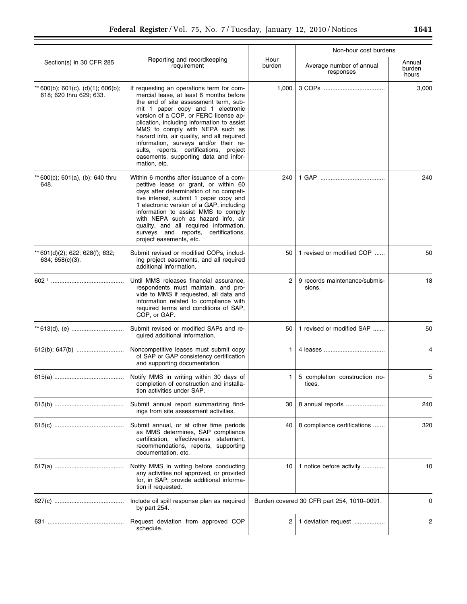|                                                               |                                                                                                                                                                                                                                                                                                                                                                                                                                                                                         |                | Non-hour cost burdens                      |                           |
|---------------------------------------------------------------|-----------------------------------------------------------------------------------------------------------------------------------------------------------------------------------------------------------------------------------------------------------------------------------------------------------------------------------------------------------------------------------------------------------------------------------------------------------------------------------------|----------------|--------------------------------------------|---------------------------|
| Section(s) in 30 CFR 285                                      | Reporting and recordkeeping<br>requirement                                                                                                                                                                                                                                                                                                                                                                                                                                              | Hour<br>burden | Average number of annual<br>responses      | Annual<br>burden<br>hours |
| ** 600(b); 601(c), (d)(1); 606(b);<br>618; 620 thru 629; 633. | If requesting an operations term for com-<br>mercial lease, at least 6 months before<br>the end of site assessment term, sub-<br>mit 1 paper copy and 1 electronic<br>version of a COP, or FERC license ap-<br>plication, including information to assist<br>MMS to comply with NEPA such as<br>hazard info, air quality, and all required<br>information, surveys and/or their re-<br>sults, reports, certifications, project<br>easements, supporting data and infor-<br>mation, etc. | 1,000          |                                            | 3,000                     |
| ** 600(c); 601(a), (b); 640 thru<br>648.                      | Within 6 months after issuance of a com-<br>petitive lease or grant, or within 60<br>days after determination of no competi-<br>tive interest, submit 1 paper copy and<br>1 electronic version of a GAP, including<br>information to assist MMS to comply<br>with NEPA such as hazard info, air<br>quality, and all required information,<br>surveys and reports, certifications,<br>project easements, etc.                                                                            | 240            |                                            | 240                       |
| ** 601(d)(2); 622; 628(f); 632;<br>634; $658(c)(3)$ .         | Submit revised or modified COPs, includ-<br>ing project easements, and all required<br>additional information.                                                                                                                                                                                                                                                                                                                                                                          | 50             | 1 revised or modified COP                  | 50                        |
|                                                               | Until MMS releases financial assurance,<br>respondents must maintain, and pro-<br>vide to MMS if requested, all data and<br>information related to compliance with<br>required terms and conditions of SAP,<br>COP, or GAP.                                                                                                                                                                                                                                                             | 2              | 9 records maintenance/submis-<br>sions.    | 18                        |
|                                                               | Submit revised or modified SAPs and re-<br>quired additional information.                                                                                                                                                                                                                                                                                                                                                                                                               | 50             | 1 revised or modified SAP                  | 50                        |
|                                                               | Noncompetitive leases must submit copy<br>of SAP or GAP consistency certification<br>and supporting documentation.                                                                                                                                                                                                                                                                                                                                                                      | 1.             |                                            | 4                         |
|                                                               | Notify MMS in writing within 30 days of<br>completion of construction and installa-<br>tion activities under SAP.                                                                                                                                                                                                                                                                                                                                                                       | 1.             | 5 completion construction no-<br>tices.    | 5                         |
|                                                               | Submit annual report summarizing find-<br>ings from site assessment activities.                                                                                                                                                                                                                                                                                                                                                                                                         | 30             | 8 annual reports                           | 240                       |
|                                                               | Submit annual, or at other time periods<br>as MMS determines, SAP compliance<br>certification, effectiveness statement,<br>recommendations, reports, supporting<br>documentation, etc.                                                                                                                                                                                                                                                                                                  | 40             | 8 compliance certifications                | 320                       |
|                                                               | Notify MMS in writing before conducting<br>any activities not approved, or provided<br>for, in SAP; provide additional informa-<br>tion if requested.                                                                                                                                                                                                                                                                                                                                   | 10             | 1 notice before activity                   | 10                        |
|                                                               | Include oil spill response plan as required<br>by part 254.                                                                                                                                                                                                                                                                                                                                                                                                                             |                | Burden covered 30 CFR part 254, 1010-0091. | 0                         |
|                                                               | Request deviation from approved COP<br>schedule.                                                                                                                                                                                                                                                                                                                                                                                                                                        | 2              | 1 deviation request                        | 2                         |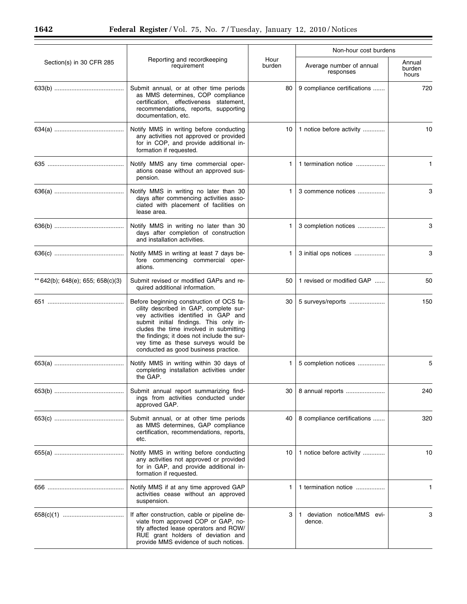|                                   |                                                                                                                                                                                                                                                                                                                                            |                | Non-hour cost burdens                 |                           |
|-----------------------------------|--------------------------------------------------------------------------------------------------------------------------------------------------------------------------------------------------------------------------------------------------------------------------------------------------------------------------------------------|----------------|---------------------------------------|---------------------------|
| Section(s) in 30 CFR 285          | Reporting and recordkeeping<br>requirement                                                                                                                                                                                                                                                                                                 | Hour<br>burden | Average number of annual<br>responses | Annual<br>burden<br>hours |
|                                   | Submit annual, or at other time periods<br>as MMS determines, COP compliance<br>certification, effectiveness statement,<br>recommendations, reports, supporting<br>documentation, etc.                                                                                                                                                     | 80             | 9 compliance certifications           | 720                       |
|                                   | Notify MMS in writing before conducting<br>any activities not approved or provided<br>for in COP, and provide additional in-<br>formation if requested.                                                                                                                                                                                    | 10             | 1 notice before activity              | 10                        |
|                                   | Notify MMS any time commercial oper-<br>ations cease without an approved sus-<br>pension.                                                                                                                                                                                                                                                  | 1              | 1 termination notice                  | $\mathbf{1}$              |
|                                   | Notify MMS in writing no later than 30<br>days after commencing activities asso-<br>ciated with placement of facilities on<br>lease area.                                                                                                                                                                                                  | 1.             | 3 commence notices                    | 3                         |
|                                   | Notify MMS in writing no later than 30<br>days after completion of construction<br>and installation activities.                                                                                                                                                                                                                            | 1.             | 3 completion notices                  | 3                         |
|                                   | Notify MMS in writing at least 7 days be-<br>fore commencing commercial oper-<br>ations.                                                                                                                                                                                                                                                   | 1.             | 3 initial ops notices                 | 3                         |
| ** 642(b); 648(e); 655; 658(c)(3) | Submit revised or modified GAPs and re-<br>quired additional information.                                                                                                                                                                                                                                                                  | 50             | 1 revised or modified GAP             | 50                        |
|                                   | Before beginning construction of OCS fa-<br>cility described in GAP, complete sur-<br>vey activities identified in GAP and<br>submit initial findings. This only in-<br>cludes the time involved in submitting<br>the findings; it does not include the sur-<br>vey time as these surveys would be<br>conducted as good business practice. | 30             | 5 surveys/reports                     | 150                       |
|                                   | Notify MMS in writing within 30 days of<br>completing installation activities under<br>the GAP.                                                                                                                                                                                                                                            | 1.             | 5 completion notices                  | 5                         |
|                                   | Submit annual report summarizing find-<br>ings from activities conducted under<br>approved GAP.                                                                                                                                                                                                                                            | 30             | 8 annual reports                      | 240                       |
|                                   | Submit annual, or at other time periods<br>as MMS determines, GAP compliance<br>certification, recommendations, reports,<br>etc.                                                                                                                                                                                                           | 40             | 8 compliance certifications           | 320                       |
|                                   | Notify MMS in writing before conducting<br>any activities not approved or provided<br>for in GAP, and provide additional in-<br>formation if requested.                                                                                                                                                                                    | 10             | 1 notice before activity              | 10                        |
|                                   | Notify MMS if at any time approved GAP<br>activities cease without an approved<br>suspension.                                                                                                                                                                                                                                              | 1              | 1 termination notice                  | 1                         |
|                                   | If after construction, cable or pipeline de-<br>viate from approved COP or GAP, no-<br>tify affected lease operators and ROW/<br>RUE grant holders of deviation and<br>provide MMS evidence of such notices.                                                                                                                               | 3              | 1 deviation notice/MMS evi-<br>dence. | 3                         |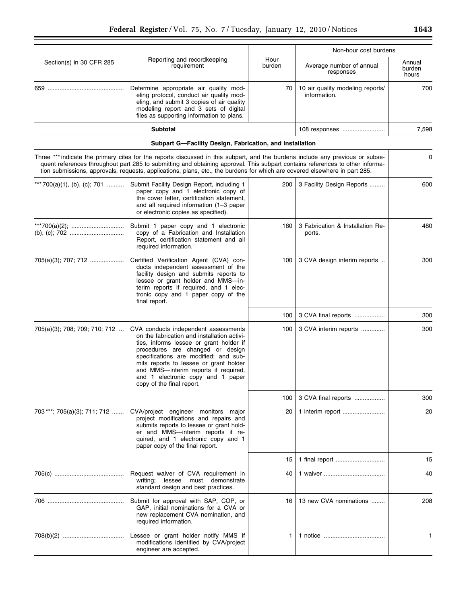|                               |                                                                                                                                                                                                                                                                                                                                                                                               |                | Non-hour cost burdens                            |                           |
|-------------------------------|-----------------------------------------------------------------------------------------------------------------------------------------------------------------------------------------------------------------------------------------------------------------------------------------------------------------------------------------------------------------------------------------------|----------------|--------------------------------------------------|---------------------------|
| Section(s) in 30 CFR 285      | Reporting and recordkeeping<br>requirement                                                                                                                                                                                                                                                                                                                                                    | Hour<br>burden | Average number of annual<br>responses            | Annual<br>burden<br>hours |
|                               | Determine appropriate air quality mod-<br>eling protocol, conduct air quality mod-<br>eling, and submit 3 copies of air quality<br>modeling report and 3 sets of digital<br>files as supporting information to plans.                                                                                                                                                                         | 70             | 10 air quality modeling reports/<br>information. | 700                       |
|                               | <b>Subtotal</b>                                                                                                                                                                                                                                                                                                                                                                               |                | 108 responses                                    | 7,598                     |
|                               | Subpart G-Facility Design, Fabrication, and Installation                                                                                                                                                                                                                                                                                                                                      |                |                                                  |                           |
|                               | Three *** indicate the primary cites for the reports discussed in this subpart, and the burdens include any previous or subse-<br>quent references throughout part 285 to submitting and obtaining approval. This subpart contains references to other informa-<br>tion submissions, approvals, requests, applications, plans, etc., the burdens for which are covered elsewhere in part 285. |                |                                                  | 0                         |
| *** 700(a)(1), (b), (c); 701  | Submit Facility Design Report, including 1<br>paper copy and 1 electronic copy of<br>the cover letter, certification statement,<br>and all required information (1-3 paper<br>or electronic copies as specified).                                                                                                                                                                             | 200            | 3 Facility Design Reports                        | 600                       |
|                               | Submit 1 paper copy and 1 electronic<br>copy of a Fabrication and Installation<br>Report, certification statement and all<br>required information.                                                                                                                                                                                                                                            | 160            | 3 Fabrication & Installation Re-<br>ports.       | 480                       |
| 705(a)(3); 707; 712           | Certified Verification Agent (CVA) con-<br>ducts independent assessment of the<br>facility design and submits reports to<br>lessee or grant holder and MMS-in-<br>terim reports if required, and 1 elec-<br>tronic copy and 1 paper copy of the<br>final report.                                                                                                                              | 100            | 3 CVA design interim reports                     | 300                       |
|                               |                                                                                                                                                                                                                                                                                                                                                                                               | 100            | 3 CVA final reports                              | 300                       |
| 705(a)(3); 708; 709; 710; 712 | CVA conducts independent assessments<br>on the fabrication and installation activi-<br>ties, informs lessee or grant holder if<br>procedures are changed or design<br>specifications are modified; and sub-<br>mits reports to lessee or grant holder<br>and MMS-interim reports if required,<br>and 1 electronic copy and 1 paper<br>copy of the final report.                               | 100            | 3 CVA interim reports                            | 300                       |
|                               |                                                                                                                                                                                                                                                                                                                                                                                               | 100            | 3 CVA final reports                              | 300                       |
| 703***; 705(a)(3); 711; 712   | CVA/project engineer monitors major<br>project modifications and repairs and<br>submits reports to lessee or grant hold-<br>er and MMS-interim reports if re-<br>quired, and 1 electronic copy and 1<br>paper copy of the final report.                                                                                                                                                       | 20             | 1 interim report                                 | 20                        |
|                               |                                                                                                                                                                                                                                                                                                                                                                                               | 15             |                                                  | 15                        |
|                               | Request waiver of CVA requirement in<br>writing;<br>lessee must demonstrate<br>standard design and best practices.                                                                                                                                                                                                                                                                            | 40             |                                                  | 40                        |
|                               | Submit for approval with SAP, COP, or<br>GAP, initial nominations for a CVA or<br>new replacement CVA nomination, and<br>required information.                                                                                                                                                                                                                                                | 16             | 13 new CVA nominations                           | 208                       |
|                               | Lessee or grant holder notify MMS if<br>modifications identified by CVA/project<br>engineer are accepted.                                                                                                                                                                                                                                                                                     | 1              |                                                  | $\mathbf{1}$              |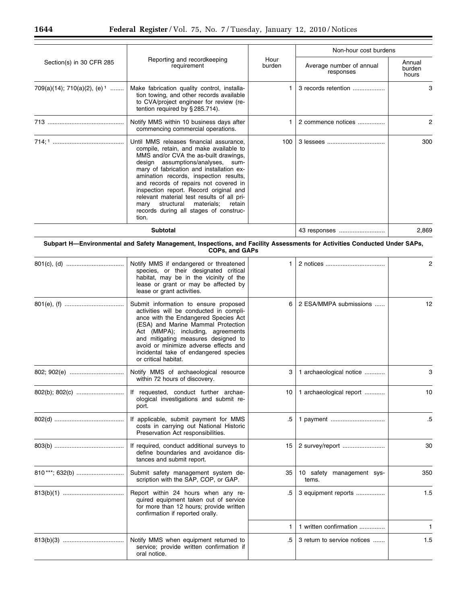|                                         |                                                                                                                                                                                                                                                                                                                                                                                                                                                                                      |                | Non-hour cost burdens                 |                           |  |
|-----------------------------------------|--------------------------------------------------------------------------------------------------------------------------------------------------------------------------------------------------------------------------------------------------------------------------------------------------------------------------------------------------------------------------------------------------------------------------------------------------------------------------------------|----------------|---------------------------------------|---------------------------|--|
| Section(s) in 30 CFR 285                | Reporting and recordkeeping<br>requirement                                                                                                                                                                                                                                                                                                                                                                                                                                           | Hour<br>burden | Average number of annual<br>responses | Annual<br>burden<br>hours |  |
| 709(a)(14); 710(a)(2), (e) <sup>1</sup> | Make fabrication quality control, installa-<br>tion towing, and other records available<br>to CVA/project engineer for review (re-<br>tention required by §285.714).                                                                                                                                                                                                                                                                                                                 |                | 3 records retention                   | 3                         |  |
|                                         | Notify MMS within 10 business days after<br>commencing commercial operations.                                                                                                                                                                                                                                                                                                                                                                                                        | 1.             | 2 commence notices                    | $\overline{c}$            |  |
|                                         | Until MMS releases financial assurance,<br>compile, retain, and make available to<br>MMS and/or CVA the as-built drawings,<br>design assumptions/analyses, sum-<br>mary of fabrication and installation ex-<br>amination records, inspection results,<br>and records of repairs not covered in<br>inspection report. Record original and<br>relevant material test results of all pri-<br>mary structural<br>materials;<br>retain<br>records during all stages of construc-<br>tion. | 100            |                                       | 300                       |  |
|                                         | Subtotal                                                                                                                                                                                                                                                                                                                                                                                                                                                                             |                | 43 responses                          | 2,869                     |  |
|                                         | Subpart H-Environmental and Safety Management, Inspections, and Facility Assessments for Activities Conducted Under SAPs,<br><b>COPs, and GAPs</b>                                                                                                                                                                                                                                                                                                                                   |                |                                       |                           |  |
|                                         | Notify MMS if endangered or threatened<br>species, or their designated critical<br>habitat, may be in the vicinity of the<br>lease or grant or may be affected by<br>lease or grant activities.                                                                                                                                                                                                                                                                                      | 1.             |                                       | $\overline{2}$            |  |
|                                         | Submit information to ensure proposed<br>activities will be conducted in compli-<br>ance with the Endangered Species Act<br>(ESA) and Marine Mammal Protection<br>Act (MMPA); including, agreements<br>and mitigating measures designed to<br>avoid or minimize adverse effects and<br>incidental take of endangered species<br>or critical habitat.                                                                                                                                 | 6              | 2 ESA/MMPA submissions                | 12                        |  |
|                                         | Notify MMS of archaeological resource<br>within 72 hours of discovery.                                                                                                                                                                                                                                                                                                                                                                                                               | 3              | 1 archaeological notice               | 3                         |  |
|                                         | If requested, conduct further archae-<br>ological investigations and submit re-<br>port.                                                                                                                                                                                                                                                                                                                                                                                             | 10             | 1 archaeological report               | 10                        |  |
|                                         | If applicable, submit payment for MMS<br>costs in carrying out National Historic<br>Preservation Act responsibilities.                                                                                                                                                                                                                                                                                                                                                               | .5             |                                       | $.5\,$                    |  |
|                                         | If required, conduct additional surveys to<br>define boundaries and avoidance dis-<br>tances and submit report.                                                                                                                                                                                                                                                                                                                                                                      | 15             | 2 survey/report                       | 30                        |  |
| 810***; 632(b)                          | Submit safety management system de-<br>scription with the SAP, COP, or GAP.                                                                                                                                                                                                                                                                                                                                                                                                          | 35             | 10 safety management sys-<br>tems.    | 350                       |  |
|                                         | Report within 24 hours when any re-<br>quired equipment taken out of service<br>for more than 12 hours; provide written<br>confirmation if reported orally.                                                                                                                                                                                                                                                                                                                          | .5             | 3 equipment reports                   | 1.5                       |  |
|                                         |                                                                                                                                                                                                                                                                                                                                                                                                                                                                                      | 1              | 1 written confirmation                | 1                         |  |
|                                         | Notify MMS when equipment returned to                                                                                                                                                                                                                                                                                                                                                                                                                                                | .5             | 3 return to service notices           | 1.5                       |  |

service; provide written confirmation if

oral notice.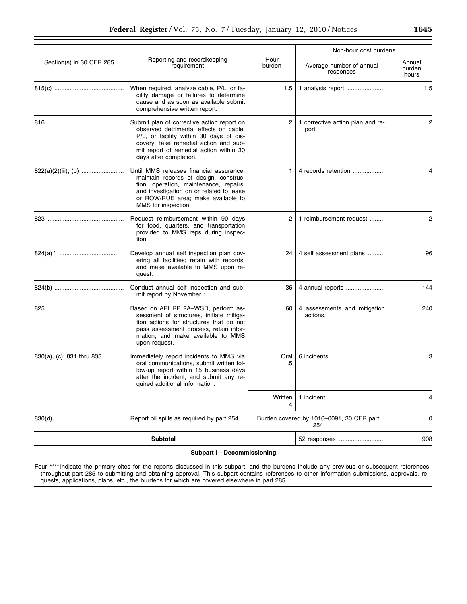|                           |                                                                                                                                                                                                                                               |                | Non-hour cost burdens                           |                           |
|---------------------------|-----------------------------------------------------------------------------------------------------------------------------------------------------------------------------------------------------------------------------------------------|----------------|-------------------------------------------------|---------------------------|
| Section(s) in 30 CFR 285  | Reporting and recordkeeping<br>requirement                                                                                                                                                                                                    | Hour<br>burden | Average number of annual<br>responses           | Annual<br>burden<br>hours |
|                           | When required, analyze cable, P/L, or fa-<br>cility damage or failures to determine<br>cause and as soon as available submit<br>comprehensive written report.                                                                                 | 1.5            | 1 analysis report                               | 1.5                       |
|                           | Submit plan of corrective action report on<br>observed detrimental effects on cable,<br>P/L, or facility within 30 days of dis-<br>covery; take remedial action and sub-<br>mit report of remedial action within 30<br>days after completion. | 2              | 1 corrective action plan and re-<br>port.       | 2                         |
|                           | Until MMS releases financial assurance,<br>maintain records of design, construc-<br>tion, operation, maintenance, repairs,<br>and investigation on or related to lease<br>or ROW/RUE area; make available to<br>MMS for inspection.           | 1.             | 4 records retention                             | 4                         |
|                           | Request reimbursement within 90 days<br>for food, quarters, and transportation<br>provided to MMS reps during inspec-<br>tion.                                                                                                                | 2              | 1 reimbursement request                         | 2                         |
|                           | Develop annual self inspection plan cov-<br>ering all facilities; retain with records,<br>and make available to MMS upon re-<br>quest.                                                                                                        | 24             | 4 self assessment plans                         | 96                        |
|                           | Conduct annual self inspection and sub-<br>mit report by November 1.                                                                                                                                                                          | 36             | 4 annual reports                                | 144                       |
|                           | Based on API RP 2A-WSD, perform as-<br>sessment of structures, initiate mitiga-<br>tion actions for structures that do not<br>pass assessment process, retain infor-<br>mation, and make available to MMS<br>upon request.                    | 60             | 4 assessments and mitigation<br>actions.        | 240                       |
| 830(a), (c); 831 thru 833 | Immediately report incidents to MMS via<br>oral communications, submit written fol-<br>low-up report within 15 business days<br>after the incident, and submit any re-<br>quired additional information.                                      | Oral<br>.5     | 6 incidents                                     | 3                         |
|                           |                                                                                                                                                                                                                                               | Written<br>4   | 1 incident                                      | 4                         |
|                           | Report oil spills as required by part 254                                                                                                                                                                                                     |                | Burden covered by 1010-0091, 30 CFR part<br>254 | 0                         |
|                           | <b>Subtotal</b>                                                                                                                                                                                                                               |                | 52 responses                                    | 908                       |

Four \*\*\*\* indicate the primary cites for the reports discussed in this subpart, and the burdens include any previous or subsequent references throughout part 285 to submitting and obtaining approval. This subpart contains references to other information submissions, approvals, requests, applications, plans, etc., the burdens for which are covered elsewhere in part 285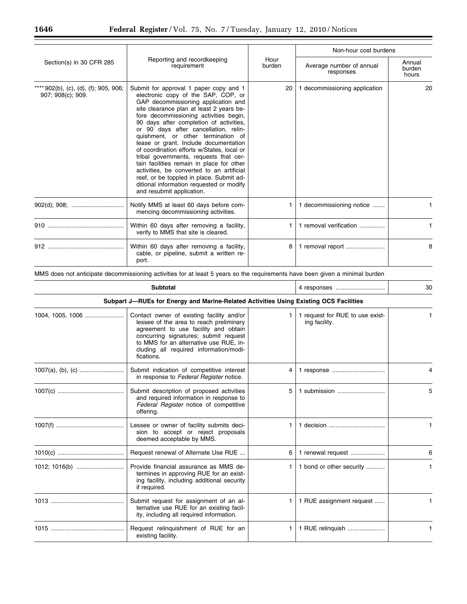|                                                          |                                                                                                                                                                                                                                                                                                                                                                                                                                                                                                                                                                                                                                                                                      |                | Non-hour cost burdens                 |                           |
|----------------------------------------------------------|--------------------------------------------------------------------------------------------------------------------------------------------------------------------------------------------------------------------------------------------------------------------------------------------------------------------------------------------------------------------------------------------------------------------------------------------------------------------------------------------------------------------------------------------------------------------------------------------------------------------------------------------------------------------------------------|----------------|---------------------------------------|---------------------------|
| Section(s) in 30 CFR 285                                 | Reporting and recordkeeping<br>requirement                                                                                                                                                                                                                                                                                                                                                                                                                                                                                                                                                                                                                                           | Hour<br>burden | Average number of annual<br>responses | Annual<br>burden<br>hours |
| ** 902(b), (c), (d), (f); 905, 906;<br>907; 908(c); 909. | Submit for approval 1 paper copy and 1<br>electronic copy of the SAP, COP, or<br>GAP decommissioning application and<br>site clearance plan at least 2 years be-<br>fore decommissioning activities begin,<br>90 days after completion of activities,<br>or 90 days after cancellation, relin-<br>quishment, or other termination of<br>lease or grant. Include documentation<br>of coordination efforts w/States, local or<br>tribal governments, requests that cer-<br>tain facilities remain in place for other<br>activities, be converted to an artificial<br>reef, or be toppled in place. Submit ad-<br>ditional information requested or modify<br>and resubmit application. | 20             | 1 decommissioning application         | 20                        |
|                                                          | Notify MMS at least 60 days before com-<br>mencing decommissioning activities.                                                                                                                                                                                                                                                                                                                                                                                                                                                                                                                                                                                                       | 1.             | 1 decommissioning notice              |                           |
|                                                          | Within 60 days after removing a facility,<br>verify to MMS that site is cleared.                                                                                                                                                                                                                                                                                                                                                                                                                                                                                                                                                                                                     |                | 1 removal verification                |                           |
|                                                          | Within 60 days after removing a facility,<br>cable, or pipeline, submit a written re-<br>port.                                                                                                                                                                                                                                                                                                                                                                                                                                                                                                                                                                                       | 8              | 1 removal report                      | 8                         |

MMS does not anticipate decommissioning activities for at least 5 years so the requirements have been given a minimal burden

| <b>Subtotal</b>                                                                       |                                                                                                                                                                                                                                                                         |    | 4 responses                                      | 30 |  |  |
|---------------------------------------------------------------------------------------|-------------------------------------------------------------------------------------------------------------------------------------------------------------------------------------------------------------------------------------------------------------------------|----|--------------------------------------------------|----|--|--|
| Subpart J-RUEs for Energy and Marine-Related Activities Using Existing OCS Facilities |                                                                                                                                                                                                                                                                         |    |                                                  |    |  |  |
|                                                                                       | Contact owner of existing facility and/or<br>lessee of the area to reach preliminary<br>agreement to use facility and obtain<br>concurring signatures; submit request<br>to MMS for an alternative use RUE, in-<br>cluding all required information/modi-<br>fications. |    | 1 request for RUE to use exist-<br>ing facility. |    |  |  |
|                                                                                       | Submit indication of competitive interest<br>in response to Federal Register notice.                                                                                                                                                                                    | 4  |                                                  |    |  |  |
|                                                                                       | Submit description of proposed activities<br>and required information in response to<br>Federal Register notice of competitive<br>offering.                                                                                                                             | 5  | 1 submission                                     | 5  |  |  |
|                                                                                       | Lessee or owner of facility submits deci-<br>sion to accept or reject proposals<br>deemed acceptable by MMS.                                                                                                                                                            |    |                                                  | 1. |  |  |
|                                                                                       | Request renewal of Alternate Use RUE                                                                                                                                                                                                                                    | 6. | 1 renewal request                                | 6  |  |  |
|                                                                                       | Provide financial assurance as MMS de-<br>termines in approving RUE for an exist-<br>ing facility, including additional security<br>if required.                                                                                                                        |    | 1 bond or other security                         | 1. |  |  |
|                                                                                       | Submit request for assignment of an al-<br>ternative use RUE for an existing facil-<br>ity, including all required information.                                                                                                                                         |    | 1 RUE assignment request                         |    |  |  |
|                                                                                       | Request relinguishment of RUE for an<br>existing facility.                                                                                                                                                                                                              | 1. | 1 RUE relinquish                                 | 1  |  |  |

Ξ